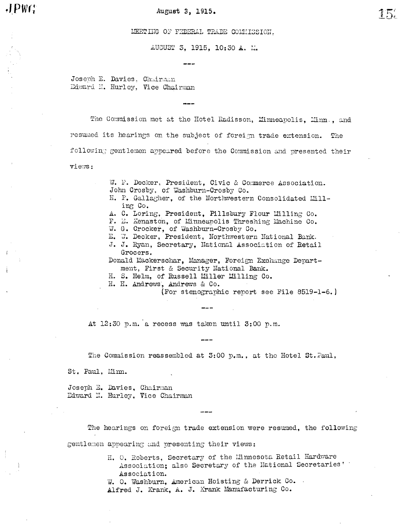$JPWG$ 

#### August 3, 1915.

LEETING OF FEDERAL TRADE COMMISSION.

AUGUST 3, 1915, 10:30 A. M.

Joseph E. Davies, Chairman Edward N. Hurley, Vice Chairman

The Commission met at the Hotel Radisson, Minneapolis, Minn., and resumed its hearings on the subject of foreign trade extension. The following gentlemen appeared before the Commission and presented their views:

> W. F. Decker, President. Civic & Commerce Association. John Crosby, of Washburn-Crosby Co.

- H. P. Gallagher. of the Northwestern Consolidated Milling Co.
- A. C. Loring, President, Pillsbury Flour Milling Co.
- F. E. Kenaston, of Minneapolis Threshing Machine Co.
- W. G. Crocker, of Washburn-Crosby Co.
- E. W. Decker, President, Northwestern National Bank.
- J. J. Ryan, Secretary, National Association of Retail Grocers.

Donald Mackerschar, Manager, Foreign Exchange Department, First & Security National Bank.

H. S. Helm, of Russell Miller Milling Co.

H. H. Andrews, Andrews & Co.

(For stenographic report see File 8519-1-6.)

At 12:30 p.m. a recess was taken until 3:00 p.m.

The Commission reassembled at 3:00 p.m., at the Hotel St. Faul,

St. Paul, Minn.

Joseph E. Davies, Chairman Edward N. Hurley, Vice Chairman

The hearings on foreign trade extension were resumed, the following gentlemen appearing and presenting their views:

> H. O. Roberts, Secretary of the Minnesota Retail Hardware Association: also Secretary of the Mational Secretaries' Association.

W. O. Washburn, American Hoisting & Derrick Co. Alfred J. Krank, A. J. Krank Manufacturing Co.

 $15.$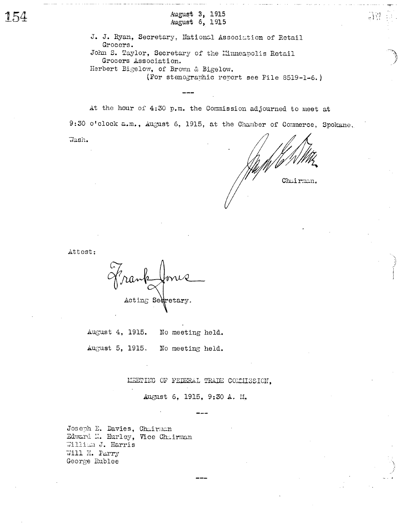August 3, 1915 August 6, 1915

J. J. Ryan, Secretary, National Association of Retail Grocers. John S. Taylor, Secretary of the Minneapolis Retail Grocers Association. Herbert Bigelow, of Brown & Bigelow. (For stenographic report see File 8519-1-6.)

At the hour of 4:30 p.m. the Commission adjourned to meet at

9:30 o'clock a.m., August 6, 1915, at the Chamber of Commerce, Spokane.

Wash.

Chairman.

 $\mathbb{R}$ 

Attest:

Acting Secretary.

August 4, 1915. No meeting held. August 5, 1915. No meeting held.

MEETING OF FEDERAL TRADE COMMISSION.

August 6, 1915, 9:30 A. M.

Joseph E. Davies, Chairman Edward N. Hurley, Vice Chairman William J. Harris Will H. Parry George Rublee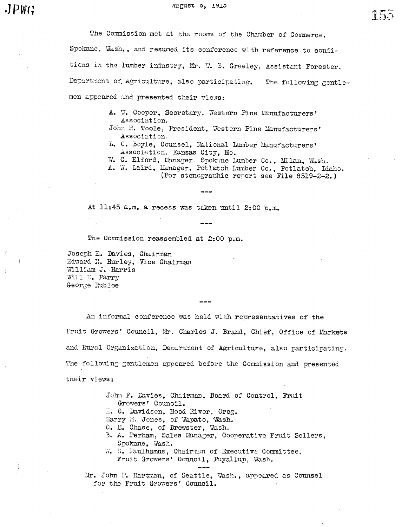August 0, 1915

155

The Commission met at the rooms of the Chamber of Commerce, Spokane, Wash., and resumed its conference with reference to conditions in the lumber industry, Mr. W. B. Greeley, Assistant Forester, Department of Agriculture, also participating. The following gentlemen appeared and presented their views:

- A. W. Cooper, Secretary, Western Pine Manufacturers' Association.
- John R. Toole, President, Western Pine Manufacturers' Association.
- L. C. Boyle, Counsel, National Lumber Manufacturers' Association, Kansas City, Mo.
- W. C. Elford, Manager. Spokune Lumber Co., Milan, Wash.

A. W. Laird, Hanager, Potlatch Lumber Co., Potlatch, Idaho. (For stenographic report see File 8519-2-2.)

At 11:45 a.m. a recess was taken until 2:00 p.m.

The Commission reassembled at 2:00 p.m.

Joseph E. Davies, Chairman Edward N. Hurley, Vice Chairman William J. Harris Will H. Parry George Rublee

An informal conference was held with representatives of the Fruit Growers' Council, Mr. Charles J. Brand, Chief, Office of Markets and Rural Organization, Department of Agriculture, also participating. The following gentlemen appeared before the Commission and presented their views:

> John F. Davies, Chairman, Board of Control, Fruit Growers' Council. H. C. Davidson, Hood River, Oreg. Harry M. Jones, of Wapato, Wash. C. E. Chase, of Brewster, Wash. B. A. Perham, Sales Manager, Cooperative Fruit Sellers, Spokane, Wash.

W. H. Paulhamus, Chairman of Executive Committee, Fruit Growers' Council, Puyallup, Wash.

Mr. John P. Hartman, of Seattle, Wash., appeared as Counsel for the Fruit Growers' Council.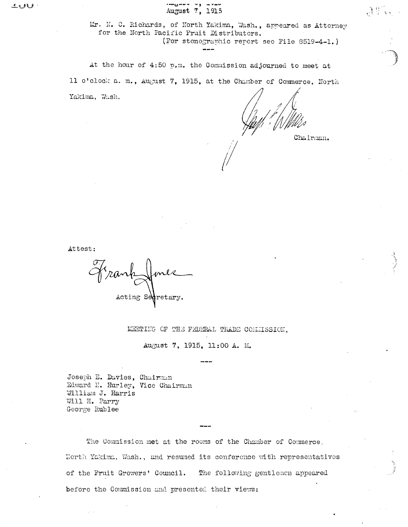Mr. N. C. Richards, of North Yakima, Wash., appeared as Attorney for the North Pacific Fruit Distributors. (For stenographic report see File 8519-4-1.)

At the hour of 4:50 p.m. the Commission adjourned to meet at 11 o'clock a. m., August 7, 1915, at the Chamber of Commerce. North Yakima, Wash.

Chairman.

3节、

Attest:

Frank Acting Secretary.

MEETING OF THE FEDERAL TRADE COMMISSION.

August 7, 1915, 11:00 A. M.

Joseph E. Davies, Chairman Edward N. Hurley, Vice Chairman William J. Harris Will H. Parry George Rublee

The Commission met at the rooms of the Chamber of Commerce, Horth Yakima, Wash., and resumed its conference with representatives of the Fruit Growers' Council. The following gentlemen appeared before the Commission and presented their views: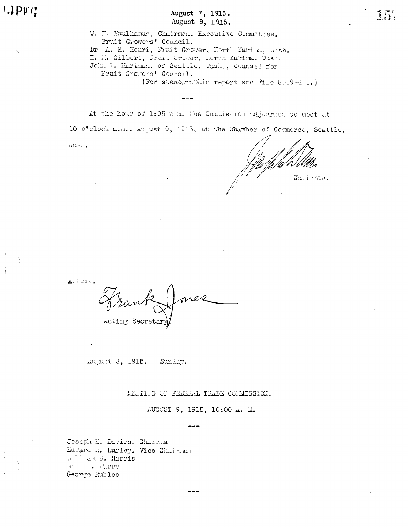August 7, 1915. August 9, 1915.

W. H. Paulhamus, Chairman, Executive Committee, Fruit Growers' Council. Dr. A. H. Henri, Fruit Grower, North Yakina, Wash. H. M. Gilbert, Fruit Grower, North Yakima, Wash. John F. Hartman, of Seattle, Wash., Counsel for Fruit Growers' Council. (For stenographic report see File 8519-4-1.)

At the hour of 1:05 p.m. the Commission adjourned to meet at

10 o'clock a.m., August 9, 1915, at the Chamber of Commerce, Seattle,

Wash.

 $l$ .)  $P$ K $l$ 

Chairman.

Attest:

Acting Secretar

August 8, 1915. Sunday.

MEETING OF FEDERAL TRADE COMMISSION,

AUGUST 9, 1915, 10:00 A. M.

Joseph E. Davies, Chairman Edward M. Hurley, Vice Chairman William J. Harris Will H. Parry George Rublee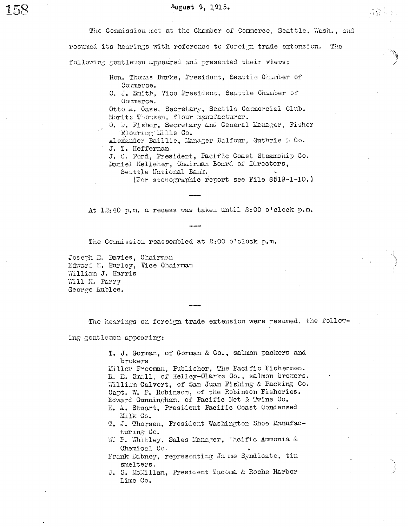Hon. Thomas Burke, President, Seattle Chamber of Commerce.

C. J. Smith, Vice President, Seattle Chamber of Commerce.

Otto A. Case, Secretary, Seattle Commercial Club. Moritz Thomsen, flour manufacturer.

O. D. Fisher, Secretary and General Manager. Fisher Flouring Mills Co.

Alexander Baillie, Manager Balfour, Guthrie & Co. J. T. Heffernan.

J. C. Ford. President. Pacific Coast Steamship Co. Daniel Kelleher, Chairman Board of Directors, Senttle Hational Bank.

(For stenographic report see File 8519-1-10.)

At 12:40 p.m. a recess was taken until 2:00 o'clock p.m.

The Commission reassembled at 2:00 o'clock p.m.

Joseph E. Davies, Chairman Edward N. Hurley, Vice Chairman William J. Harris Will H. Parry George Rublee.

The hearings on foreign trade extension were resumed, the follow-

ing gentlemen appearing:

T. J. Gorman, of Gorman & Co., salmon packers and brokers

Miller Freeman, Publisher, The Pacific Fishermen. R. E. Small, of Kelley-Clarke Co., salmon brokers. William Calvert, of San Juan Fishing & Packing Co. Capt. W. F. Robinson, of the Robinson Fisheries. Edward Cunningham, of Pacific Net & Twine Co.

- E. A. Stuart, President Pacific Coast Condensed Milk Co.
- T. J. Thorsen, President Washington Shoe Manufacturing Co.
- W. P. Whitley, Sales Manager, Pacific Ammonia & Chemical Co.
- Frank Dabney, representing Jame Syndicate, tin smelters.
- J. S. McMillan, President Tacoma & Roche Harbor Lime Co.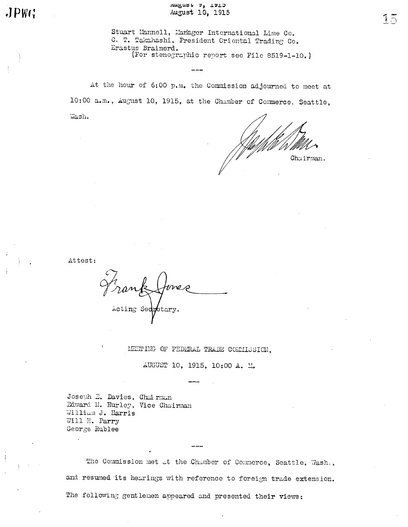August 7, 1915 August 10, 1915

Stuart Mannell, Manager International Lime Co. C. T. Takahashi, President Oriental Trading Co. Erastus Brainerd. (For stenographic report see File 8519-1-10.)

At the hour of 6:00 p.m. the Commission adjourned to meet at 10:00 a.m., August 10, 1915, at the Chamber of Commerce, Seattle, Wash.

Chairman.

Attest:

J.

Acting Sed  $_{\rm{stars}}.$ 

MEETING OF FEDERAL TRADE COMMISSION,

AUGUST 10, 1915, 10:00 A. M.

Joseph E. Davies, Chairman Edward N. Hurley, Vice Chairman William J. Harris Will H. Parry George Rublee

The Commission met at the Chamber of Commerce, Seattle, Wash., and resumed its hearings with reference to foreign trade extension. The following gentlemen appeared and presented their views: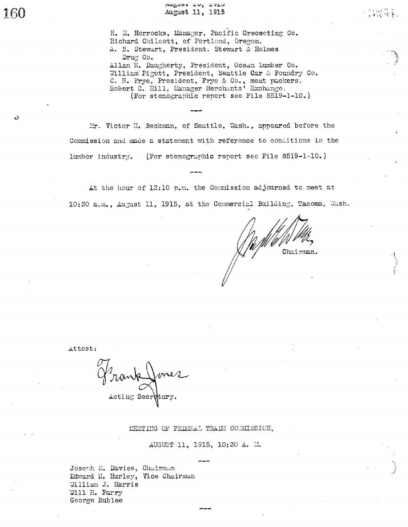$\ddot{\mathbf{v}}$ 

Auguse Lu, 1710 August 11, 1915

H. E. Horrocks, Manager, Pacific Creosoting Co. Richard Chilcott, of Portland, Oregon. A. B. Stewart, President, Stewart & Holmes Drug Co. Allan H. Daugherty, President, Ocean Lumber Co. William Pigott, President, Seattle Car & Foundry Co. C. H. Frye, President, Frye & Co., meat packers. Robert C. Hill, Manager Merchants' Exchange. (For stenographic report see File 8519-1-10.)

Mr. Victor II. Beckman, of Seattle, Wash., appeared before the Commission and made a statement with reference to conditions in the lumber industry. (For stenographic report see File 8519-1-10.)

At the hour of 12:10 p.m. the Commission adjourned to meet at 10:30 a.m., August 11, 1915, at the Commercial Building, Tacoma, Wash.

Chairman.

· DNW 94.

Attest:

Acting Secretary.

MEETING OF FEDERAL TRADE COMMISSION,

AUGUST 11, 1915, 10:30 A. M.

Joseph E. Davies, Chairman Edward N. Hurley, Vice Chairman William J. Harris Will H. Parry George Rublee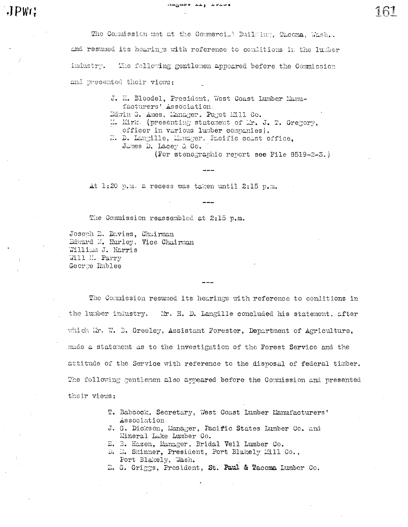ويحديك وسط يعملهم

161

The Commission met at the Commercial Building, Tacoma. Wash., and resumed its hearings with reference to conditions in the lumber The following gentlemen appeared before the Commission industry. and presented their views:

> J. H. Bloedel, President, West Coast Lumber Manufacturers' Association. Edwin G. Ames, Lanager, Puget Hill Co. M. Kirk. (presenting statement of Er. J. T. Gregory, officer in various lumber companies). H. D. Langille, Manager. Pacific coast office, James D. Lacey & Co. (For stenographic report see File 8519-2-3.)

At 1:20 p.m. a recess was taken until 2:15 p.m.

The Commission reassembled at 2:15 p.m.

Joseph E. Davies, Chairman Edward M. Hurley, Vice Chairman William J. Harris Will H. Parry George Rublee

 $JPW:$ 

The Commission resumed its hearings with reference to conditions in the lumber industry. Mr. H. D. Langille concluded his statement, after which Lr. W. B. Greeley, Assistant Forester, Department of Agriculture, mude a statement as to the investigation of the Forest Service and the attitude of the Service with reference to the disposal of federal timber. The following gentlemen also appeared before the Commission and presented their views:

- T. Babcock, Secretary, West Coast Lumber Manufacturers' Association
- J. G. Dickson, Manager, Pacific States Lumber Co. and Mineral Lake Lumber Co.
- E. B. Hazen, Manager, Bridal Veil Lumber Co.
- D. E. Skinner, President, Port Blakely Mill Co., Port Blakely, Wash.
- E. G. Griggs, President, St. Paul & Tacoma Lumber Co.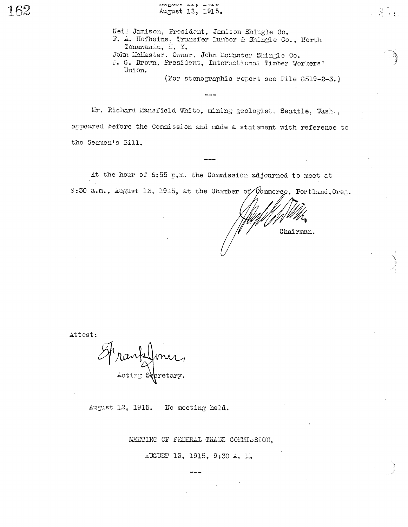Neil Jamison, President, Jamison Shingle Co. F. A. Hofheins, Transfer Lumber & Shingle Co., Horth Tonawanda, H. Y. John McMaster. Owner, John McMaster Shingle Co. J. G. Brown, President, International Timber Workers' Union.

(For stenographic report see File 8519-2-3.)

2. 最高的

Mr. Richard Mansfield White, mining geologist, Seattle, Wash., appeared before the Commission and made a statement with reference to the Seamen's Bill.

At the hour of 6:55 p.m. the Commission adjourned to meet at 9:30 a.m., August 13, 1915, at the Chamber of Commerce, Portland. Oreg.

Chairman.

Attest:

Mrankformer

August 12, 1915. No meeting held.

MEETING OF FEDERAL TRADE COMMISSION.

AUGUST 13, 1915, 9:30 A. M.

162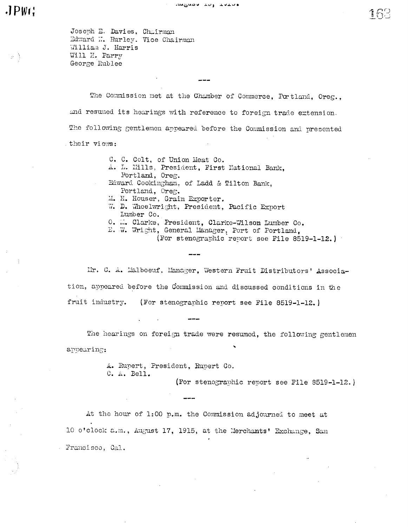# $JPWG$

Joseph E. Davies, Chairman Edward N. Hurley. Vice Chairman William J. Harris Will H. Parry George Rublee

The Commission met at the Chamber of Commerce, Portland, Oreg., and resumed its hearings with reference to foreign trade extension. The following gentlemen appeared before the Commission and presented their views:

- C. C. Colt, of Union Meat Co.
- A. L. Mills, President, First Hational Bank. Portland, Oreg.
- Edward Cookingham, of Ladd & Tilton Bank, Portland, Oreg.
- M. H. Houser, Grain Exporter.
- W. D. Wheelwright, President, Pacific Export Lumber Co.
- O. M. Clarke, President, Clarke-Wilson Lumber Co.
- E. W. Wright, General Manager, Port of Portland,

(For stenographic report see File 8519-1-12.)

Mr. C. A. Malboeuf, Manager, Western Fruit Distributors' Association, appeared before the Commission and discussed conditions in the fruit industry. (For stenographic report see File 8519-1-12.)

The hearings on foreign trade were resumed, the following gentlemen appearing:

> A. Rupert, President, Rupert Co. C. A. Bell.

(For stenographic report see File 8519-1-12.)

At the hour of 1:00 p.m. the Commission adjourned to meet at 10 o'clock a.m., August 17, 1915, at the Merchants' Exchange, San Francisco, Cal.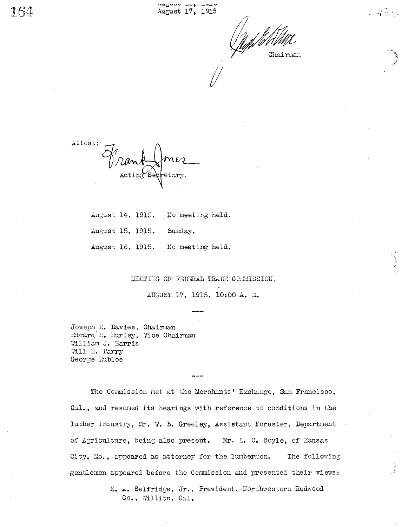Chairman

그림 일

Attest:

August 14, 1915. No meeting held.

August 15, 1915. Sunday.

August 16, 1915. No meeting held.

MEETING OF FEDERAL TRADE COMMISSION.

AUGUST 17, 1915, 10:00 A. M.

Joseph E. Davies, Chairman Edward N. Hurley, Vice Chairman William J. Harris Will H. Parry George Rublee

The Commission met at the Merchants' Exchange, San Francisco, Cal., and resumed its hearings with reference to conditions in the lumber industry, Mr. W. B. Greeley, Assistant Forester, Department of Agriculture, being also present. Mr. L. C. Boyle, of Kansas The following City, Mo., appeared as attorney for the lumbermen. gentlemen appeared before the Commission and presented their views:

> E. A. Selfridge, Jr., President, Northwestern Redwood Co., Willits, Cal.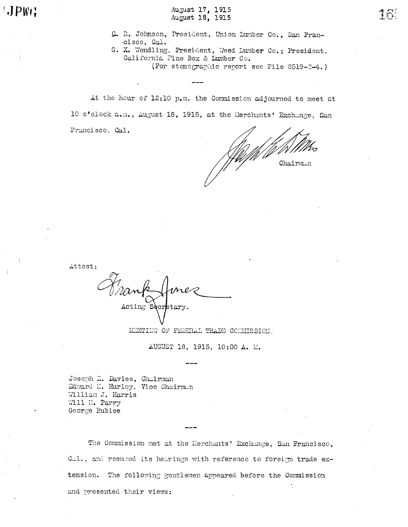$JPWG$ 

August 17, 1915<br>August 18, 1915

- C. R. Johnson, President, Union Lumber Co., San Francisco, Cal.
- G. X. Wendling, President, Weed Lumber Co.; President. California Pine Box & Lumber Co.

(For stenographic report see File 8519-2-4,)

At the hour of 12:10 p.m. the Commission adjourned to meet at 10 o'clock a.m., August 18, 1915, at the Merchants' Exchange, San Francisco, Cal.

Chairmin

Attest:

Acting Secretary.

MEETING OF FEDERAL TRADE COMMISSION. AUGUST 18, 1915, 10:00 A. M.

Joseph E. Davies, Chairman Edward N. Hurley, Vice Chairman William J. Harris Will H. Parry George Rublee

The Commission met at the Merchants' Exchange, San Francisco, Cal., and resumed its hearings with reference to foreign trade extension. The following gentlemen appeared before the Commission and presented their views: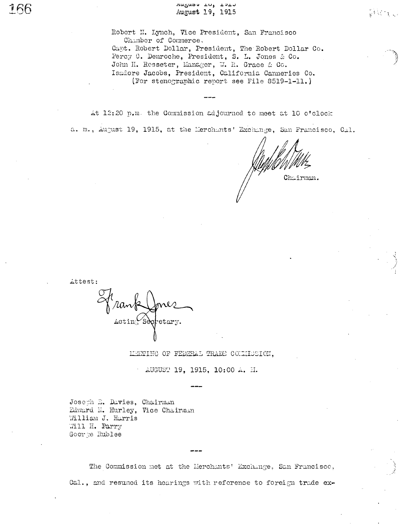unguan to? Tath August 19, 1915

Robert N. Lynch, Vice President, San Francisco Chamber of Commerce. Capt. Robert Dollar, President, The Robert Dollar Co. Percy C. Denroche, President, S. L. Jones & Co. John H. Resseter, Manager, W. R. Grace & Co. Isadore Jacobs, President, California Canneries Co. (For stenographic report see File 8519-1-11.)

At 12:20 p.m. the Commission adjourned to meet at 10 o'clock

a. m., August 19, 1915, at the Merchants' Exchange, San Francisco, Cal.

Chairman.

 $\mathcal{F}(\mathcal{A},\mathcal{A})$ 

*ittest:* 

 $\text{Actin}(\text{S\`e} \& \text{etary}.$ 

MEETING OF FEDERAL TRADE COLLIDSION.

AUGUST 19, 1915, 10:00 A. E.

Joseph E. Davies, Chairman Edward N. Hurley, Vice Chairman William J. Harris Will H. Parry Goorge Rublee

The Commission met at the Merchants' Exchange, San Francisco, Cal., and resumed its hearings with reference to foreign trade ex-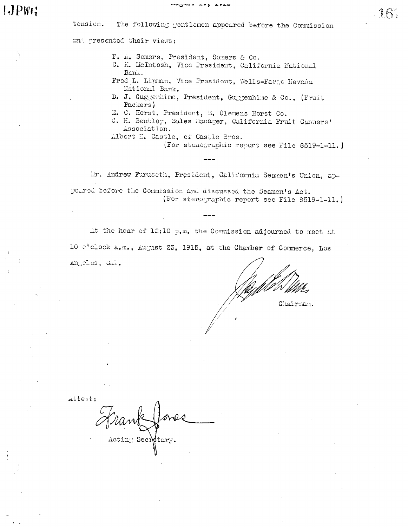The following gentlemen appeared before the Commission tension.

and presented their views:

F. A. Somers, President, Somers & Co.

- C. K. McIntosh, Vice President, California Mational Bank.
- Fred L. Lipman, Vice President, Wells-Farge Hevada National Bank.
- D. J. Guggenhime, President, Guggenhime & Co., (Fruit Packers)
- E. C. Horst, President, E. Clemens Horst Co.
- C. H. Bentley, Sales Manager, California Fruit Canners' Association.
- Albert E. Castle, of Castle Bros.
	- (For stonographic report see File 8519-1-11.)

Mr. Andrew Furuscth, President, California Seamen's Union, appoured before the Commission and discussed the Seamen's Act. (For stenographic report see File 8519-1-11.)

At the hour of 12:10 p.m. the Commission adjourned to meet at 10 c'eleck a.m., August 23, 1915, at the Chamber of Commerce, Los Angeles, Gal.

Chairman.

Attest:

 $\text{Actin}$  Sec $\text{Metary.}$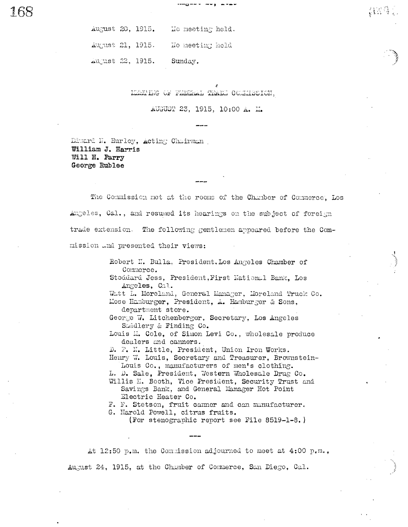August 20, 1915. No meeting held. August 21, 1915. No meeting held August 22, 1915. Sunday.

MEETING OF FEDERAL TRADE COUNTSSION.

AUGUST 23, 1915, 10:00 A. M.

Diward N. Hurley, Acting Chairman William J. Harris Will H. Parry George Rublee

The Commission met at the rooms of the Chamber of Commerce, Los Angeles, Cal., and resumed its hearings on the subject of foreign trade extension. The following gentlemen appeared before the Commission and presented their views:

> Robert N. Bulla, President, Los Angeles Chamber of Commerce.

> Stoddard Jess, President, First National Bank, Los Angeles, Cal.

Watt L. Moreland, General Manager, Moreland Truck Co. Mose Hamburger, President, A. Hamburger & Sons,

department store.

George W. Litchenberger, Secretary, Los Angeles Saddlery & Finding Co.

Louis M. Cole, of Simon Levi Co., wholesale produce dealers and canners.

D. P. N. Little, President, Union Iron Works.

Henry W. Louis, Secretary and Treasurer, Brownstein-Louis Co., manufacturers of men's clothing.

L. D. Sale, President, Western Wholesale Drug Co.

Willis H. Booth, Vice President, Security Trust and Savings Bank, and General Manager Hot Point Electric Heater Co.

F. F. Stetson, fruit canner and can manufacturer.

G. Harold Powell, citrus fruits.

(For stenographic report see File 8519-1-8.)

At 12:50 p.m. the Commission adjourned to meet at 4:00 p.m., August 24, 1915, at the Chamber of Commerce, San Diego, Cal.

{RI41}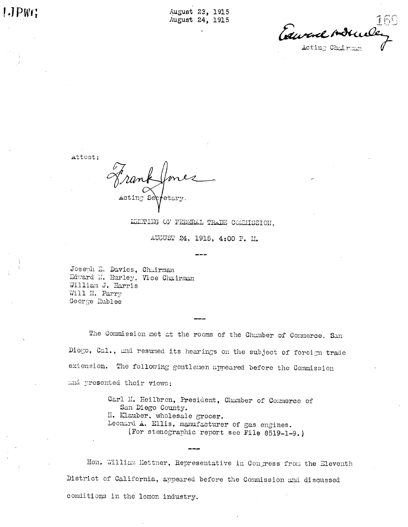1.1PWC

August 23, 1915 August 24, 1915

Edward Adr Acting Chairman

Attest:

etary.

METTING OF FEDERAL TRADE COMMISSION.

AUGUST 24, 1915, 4:00 P. M.

Joseph E. Davies, Chairman Edward M. Hurley, Vice Chairman William J. Harris Will H. Parry George Rublee

The Commission met at the rooms of the Chamber of Commerce, San Diego, Cal., and resumed its hearings on the subject of foreign trade extension. The following gentlemen appeared before the Commission and presented their views:

> Carl H. Heilbron, President, Chamber of Commerce of San Diego County. II. Klauber, wholesale grocer. Leonard A. Ellis, manufacturer of gas engines. (For stenographic report see File 8519-1-9.)

Hon. William Kettner, Representative in Congress from the Eleventh District of California, appeared before the Commission and discussed conditions in the lemon industry.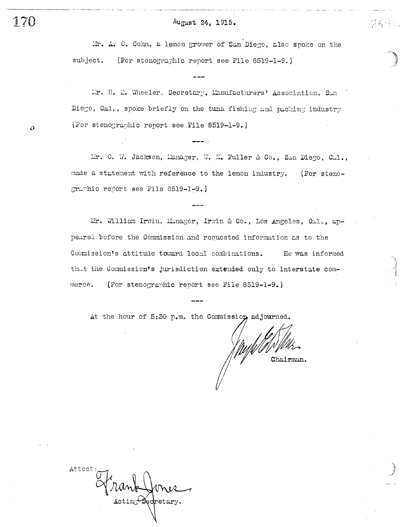$\frac{1}{2} \sum_{i=1}^n \frac{1}{2} \sum_{j=1}^n \frac{1}{2} \sum_{j=1}^n \frac{1}{2} \sum_{j=1}^n \frac{1}{2} \sum_{j=1}^n \frac{1}{2} \sum_{j=1}^n \frac{1}{2} \sum_{j=1}^n \frac{1}{2} \sum_{j=1}^n \frac{1}{2} \sum_{j=1}^n \frac{1}{2} \sum_{j=1}^n \frac{1}{2} \sum_{j=1}^n \frac{1}{2} \sum_{j=1}^n \frac{1}{2} \sum_{j=1}^n \frac{1}{2} \sum_{j=$ 

Mr. A. C. Cohn, a lemon grower of San Diego, also spoke on the subject. (For stenographic report see File 8519-1-9.)

Lr. H. D. Wheeler, Secretary, Manufacturers' Association, San Diego, Cal., spoke briefly on the tuna fishing and packing industry. (For stenographic report see File 8519-1-9.)

 $\frac{1}{2}$ 

Mr. C. W. Jackson, Manager, W. K. Fuller & Co., San Diego, Cal., made a statement with reference to the lemon industry. (For stenographic report see File 8519-1-9.)

Mr. William Irwin, Manager, Irwin & Co., Los Angeles, Cal., appeared before the Commission and requested information as to the Commission's attitude toward local combinations. He was informed that the Commission's jurisdiction extended only to interstate com-(For stenographic report see File 8519-1-9.) merce.

At the hour of 5:30 p.m. the Commission, adjourned.

Chairman.

Attes  $\texttt{Acting}\xspace\texttt{S}$ edretary

170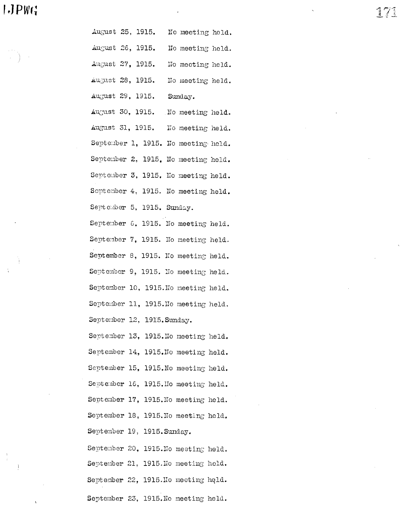# 1.JPWG

 $\left(\begin{array}{c} 1 & 0 \\ 0 & 1 \end{array}\right) = 1.$ 

**A** 

 $\frac{1}{3}$ 

 $\begin{pmatrix} 1 & 0 \\ 1 & 0 \\ 0 & 0 \end{pmatrix}$ 

 $\hat{\mathbf{v}}$ 

 $\sim$ 

 $\sim$ 

| August 25, 1915. No meeting held.    |
|--------------------------------------|
| August 26, 1915. No meeting held.    |
| August 27, 1915. No meeting held.    |
| August 28, 1915. No meeting held.    |
| August 29, 1915. Sunday.             |
| August 30, 1915. No meeting held.    |
| August 31, 1915. No meeting held.    |
| September 1, 1915. No meeting held.  |
| September 2, 1915. No meeting held.  |
| September 3, 1915. No meeting held.  |
| Soptember 4, 1915. No meeting held.  |
| September 5, 1915. Sunday.           |
| September 6, 1915. No meeting held.  |
| September 7, 1915. No meeting held.  |
| September 8, 1915. No meeting held.  |
| September 9, 1915. No meeting held.  |
| September 10, 1915. No meeting held. |
| September 11, 1915. No meeting held. |
| September 12, 1915. Sunday.          |
| September 13, 1915. No meeting held. |
| September 14, 1915. No meeting held. |
| September 15, 1915. No meeting held. |
| September 16, 1915. No meeting held. |
| September 17, 1915. No meeting held. |
| September 18, 1915. No meeting held. |
| September 19, 1915. Sunday.          |
| September 20, 1915. No meeting held. |
| September 21, 1915. No meeting held. |
| September 22, 1915. No meeting held. |
| September 23, 1915. No meeting held. |

 $\cdot$ 

171

 $\sim$   $\sim$ 

 $\ddot{\phantom{0}}$ 

 $\sim 10^{11}$  km  $^{-1}$ 

 $\mathbb{Z}^2$ 

 $\mathcal{L}^{\mathcal{A}}$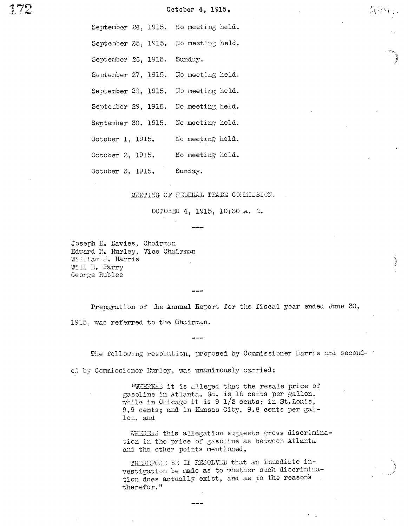172

October 4, 1915.

(第254页)

September 24, 1915. No meeting held.

September 25, 1915. No meeting held.

September 26, 1915. Sunday.

September 27, 1915. No mecting held.

September 28, 1915. No meeting held.

September 29, 1915. No meeting held.

September 30, 1915. No meeting held.

October 1, 1915. No meeting held.

No meeting held. October 2, 1915.

October 3, 1915. Sunday.

MENTING OF FEDERAL TRADE COMMISSION.

OCTOBER 4, 1915, 10:30 A. M.

Joseph E. Davies, Chairman Edward N. Hurley, Vice Chairman William J. Harris Will H. Parry George Rublee

Preparation of the Annual Report for the fiscal year ended June 30, 1915. was referred to the Chairman.

The following resolution, proposed by Commissioner Harris and seconded by Commissioner Hurley, was unanimously carried:

> "WHEREAS it is alleged that the resale price of gasoline in Atlanta, Ga. is 16 cents per gallon, while in Chicago it is 9  $1/2$  cents; in St. Louis, 9.9 cents; and in Kansas City, 9.8 cents per gallon, and

WHEREAS this allegation suggests gross discrimination in the price of gasoline as between Atlanta and the other points mentioned,

THEREFORE BE IT RESOLVED that an immediate investigation be made as to whether such discrimination does actually exist, and as to the reasons therefor."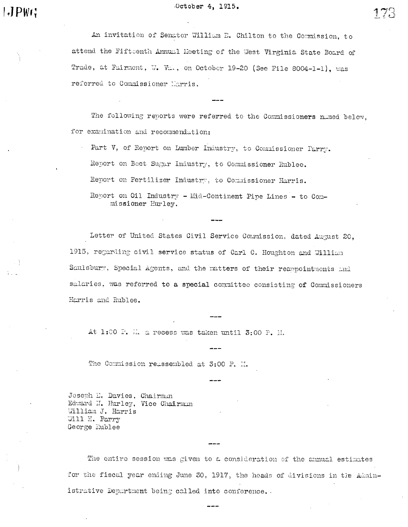An invitation of Senator William E. Chilton to the Commission, to attend the Fifteenth Annual Meeting of the West Virginia State Board of Trade, at Fairmont, W. Va., on October 19-20 (See File 8004-1-1), was referred to Commissioner Harris.

The following reports were referred to the Commissioners named below, for examination and recommendation:

Part V, of Report on Lumber Industry, to Commissioner Parry. Report on Beet Sugar Industry, to Commissioner Rublee. Report on Fertilizer Industry, to Commissioner Harris.

Report on Oil Industry - Mid-Continent Pipe Lines - to Commissioner Hurley.

Letter of United States Civil Service Commission, dated August 20, 1915, regarding civil service status of Carl C. Houghton and William Saulsbury, Special Agents, and the matters of their reappointments and salaries, was referred to a special committee consisting of Commissioners Harris and Rublee.

At 1:00 P. M. a recess was taken until 3:00 P. M.

The Commission reassembled at 3:00 P. M.

Joseph E. Davies, Chairman Edward N. Hurley, Vice Chairman William J. Harris Will H. Parry George Rublee

The entire session was given to a consideration of the annual estimates for the fiscal year ending June 30, 1917, the heads of divisions in the Administrative Department being called into conference.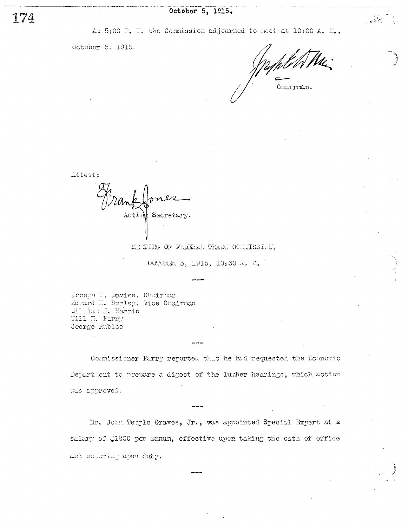At 5:00 P. H. the Commission adjourned to meet at 10:00 A. H.,

October 5, 1915.

Chairman.

 $\sim 10$   $\sigma$ 

Attest:

Actin Secretary.

MEMING OF FEDERAL TRADE COMMISSION,

OCTOBER 5, 1915, 10:30 A. M.

Joseph E. Davies, Chairman Edward H. Hurley, Vice Chairman William J. Harris Will H. Parry George Rublee

Commissioner Parry reported that he had requested the Economic Department to prepare a digest of the lumber hearings, which action was approved.

Mr. John Temple Graves, Jr., was appointed Special Expert at a salary of 1200 per annum, effective upon taking the oath of office and ontering upon duty.

174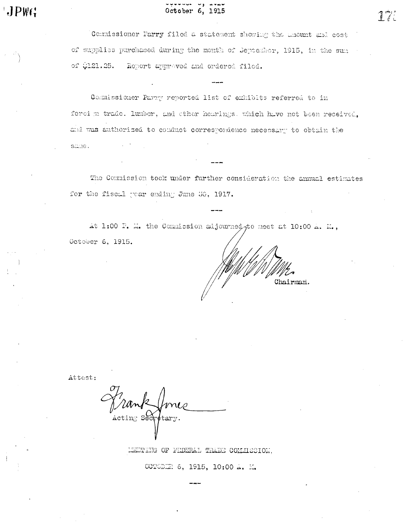## October 6, 1915

Commissioner Parry filed a statement showing the amount and cost of supplies purchased during the menth of Jeptenber, 1915, in the sun of  $$121.25.$  Report approved and ordered filed.

Commissioner Parry reported list of exhibits referred to in forci m trade. lumber, and other hearings, which have not been received. and was authorized to conduct correspondence necessary to obtain the same.

The Commission took under further consideration the annual estimates for the fiscal year ending June 50, 1917.

At 1:00 P. M. the Commission adjourned, to meet at 10:00 A. M., October 6, 1915.

Chairman.

Attest:

Acting Secretary.

LEETTING OF FIDERAL TRADE COMMISSION,

OCTODIR 6, 1915, 10:00 A. M.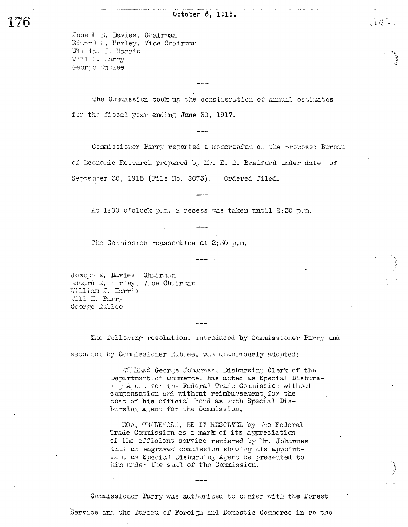$100 - 100$ 

Joseph E. Davies, Chairman Edward H. Hurley, Vice Chairman William J. Harris Will I. Parry George Rublee

The Commission took up the consideration of annual estimates for the fiscal year ending June 30, 1917.

Commissioner Parry reported a memorandum on the proposed Bureau of Economic Research prepared by Mr. E. S. Bradford under date of September 30, 1915 (File No. 8073). Ordered filed.

At 1:00 o'clock p.m. a recess was taken until 2:30 p.m.

The Commission reassembled at 2:30 p.m.

Joseph E. Davies, Chairman Edward M. Hurley, Vice Chairman William J. Harris Will H. Parry George Rublee

The following resolution, introduced by Commissioner Parry and seconded by Commissioner Rublee, was unanimously adopted:

> WHEREAS George Johannes, Disbursing Clerk of the Department of Commerce. has acted as Special Disbursing Agent for the Federal Trade Commission without compensation and without reimbursement for the cost of his official bond as such Special Disbursing Agent for the Commission,

NOW, THEREFORE, BE IT RESCLVED by the Federal Trade Commission as a mark of its appreciation of the efficient service rendered by Mr. Johannes that an engraved commission showing his appointment as Special Disbursing Agent be presented to him under the seal of the Commission.

Commissioner Parry was authorized to confer with the Forest Service and the Bureau of Foreign and Domestic Commerce in re the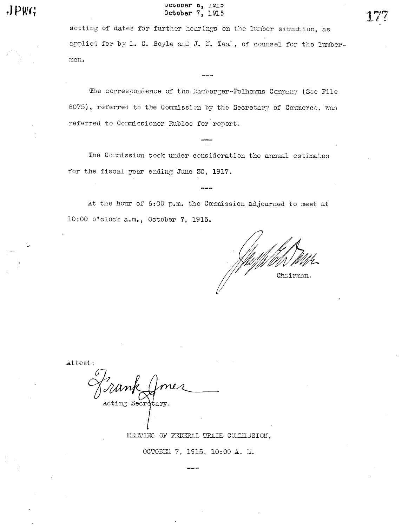JPWG

### ACTODET 0' TATO October 7, 1915

setting of dates for further hearings on the lumber situation, as applied for by L. C. Boyle and J. N. Teal, of counsel for the lumbermen.

The correspondence of the Hamberger-Polhemus Company (See File 8075), referred to the Commission by the Secretary of Commerce, was referred to Commissioner Rublee for report.

The Commission took under consideration the annual estimates for the fiscal year ending June 30, 1917.

At the hour of 6:00 p.m. the Commission adjourned to meet at 10:00 o'clock a.m., October 7, 1915.

Chairman.

Attest:

Acting Secretary.

MEETING OF FEDERAL TRADE COMMISSION,

OCTOBER 7, 1915, 10:00 A. M.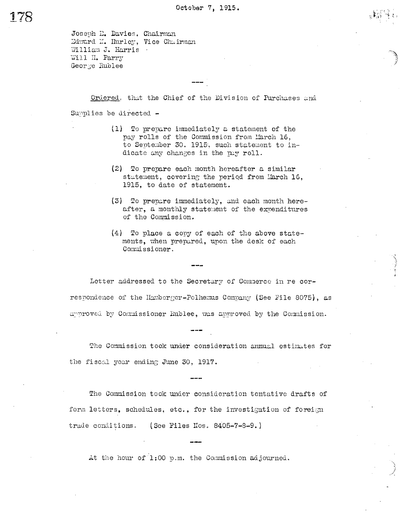Joseph E. Davies, Chairman Edward N. Hurley, Vice Chairman William J. Harris . Will H. Parry George Rublee

Ordered, that the Chief of the Division of Purchases and Sumplies be directed -

- (1) To prepare immediately a statement of the pay rolls of the Commission from March 16, to September 30, 1915, such statement to indicate any changes in the pay roll.
- $(2)$  To prepare each month hereafter a similar statement, covering the period from March 16, 1915, to date of statement.
- (3) To prepare immediately, and each month hereafter, a monthly statement of the expenditures of the Commission.
- $(4)$  To place a copy of each of the above statements, when prepared, upon the desk of each Commissioner,

Letter addressed to the Secretary of Comnerce in re correspondence of the Hamberger-Polhemus Company (See File 8075), as approved by Commissioner Rublee, was approved by the Commission.

The Commission took under consideration annual estimates for the fiscal year ending June 30, 1917.

The Commission took under consideration tentative drafts of form letters, schedules, etc., for the investigation of foreign trade conditions. (See Files Nos. 8405-7-8-9.)

At the hour of 1:00 p.m. the Commission adjourned.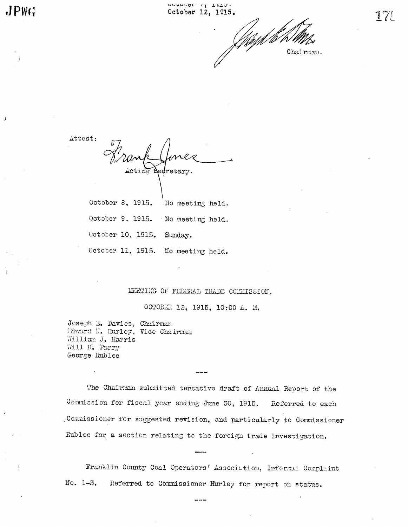Chairman.

Attest:

 $JPWG$ 

 $\overline{\mathbf{z}}$ 

 $\texttt{acting}$   $\texttt{S}$ edretary.

October 8, 1915. No meeting held. October 9, 1915. No meeting held. October 10, 1915. Sunday. October 11, 1915. No meeting held.

## MEETING OF FEDERAL TRADE COLEAISSION,

OCTOBER 12, 1915, 10:00 A. M.

Joseph E. Davies, Chairman Edward N. Hurley, Vice Chairman William J. Harris Will H. Parry George Rublee

The Chairman submitted tentative draft of Annual Report of the Commission for fiscal year ending June 30, 1915. Referred to each Commissioner for suggested revision, and particularly to Commissioner Rublee for a section relating to the foreign trade investigation.

Franklin County Coal Operators' Association, Informal Complaint  $No. 1-3.$ Referred to Commissioner Hurley for report on status.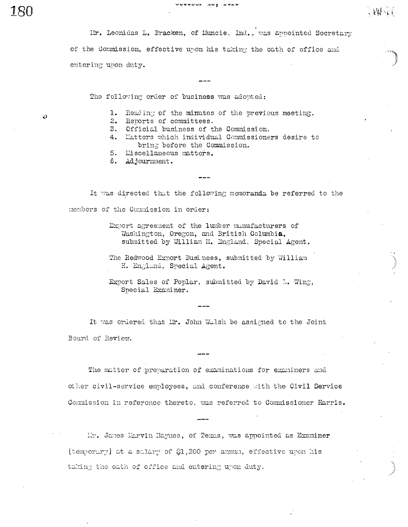Mr. Leonidas L. Bracken, of Muncie. Ind., was annointed Secretary of the Commission, effective upon his taking the oath of office and entering upon duty.

uuuuu guu aduuu

The following order of business was adopted:

O

- 1. Reading of the minutes of the previous meeting.
- 2. Reports of committees.
- 3. Official business of the Commission.
- 4. Matters which individual Commissioners desire to bring before the Commission.
- 5. Miscellaneous matters.
- 6. Adjournment.

It was directed that the following memoranda be referred to the members of the Commission in order:

> Export agreement of the lumber manufacturers of Washington, Oregon, and British Columbia, submitted by William H. England, Special Agent.

> The Redwood Export Business, submitted by William H. England, Special Agent.

Export Sales of Poplar, submitted by David L. Wing, Special Examiner.

It was ordered that Mr. John Walsh be assigned to the Joint Board of Review.

The matter of preparation of examinations for examiners and other civil-service employees, and conference with the Civil Service Commission in reference thereto, was referred to Commissioner Harris.

Ih. James Marvin Haynes, of Texas, was appointed as Examiner (temporary) at a salary of \$1,200 per annum, effective upon his taking the oath of office and entering upon duty.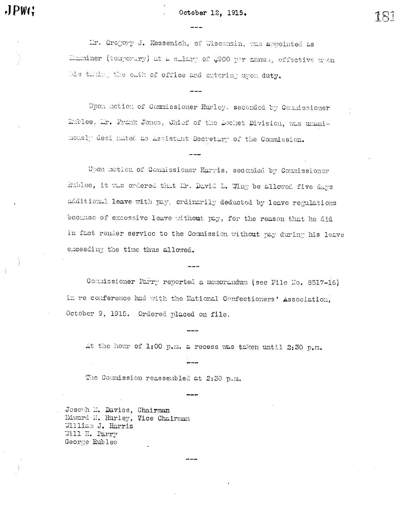#### October 12, 1915.

Mr. Gregory J. Kessenich, of Wisconsin, was appointed as Examiner (temporary) at a sulary of \$900 per numes, effective upon his tuking the oath of office and entering upon duty.

Upon motion of Commissioner Hurley. seconded by Commissioner Rublee, Mr. Frank Jones, Chief of the Docket Division, was unanimously designated as Assistant Secretary of the Commission.

Upon motion of Commissioner Harris, seconded by Commissioner Rublee, it was ordered that Mr. David L. Wing be allowed five days additional leave with pay, ordinarily deducted by leave regulations because of excessive leave without pay, for the reason that he did in fact render service to the Commission without pay during his leave exceeding the time thus allowed.

Commissioner Parry reported a momorandum (see File No. 8517-16) in re conference had with the Hational Confectioners' Association, October 9, 1915. Ordered placed on file.

At the hour of 1:00 p.m. a recess was taken until 2:30 p.m.

The Commission reassembled at 2:30 p.m.

Joseph E. Davies, Chairman Edward N. Hurley, Vice Chairman William J. Harris Will H. Parry George Rublee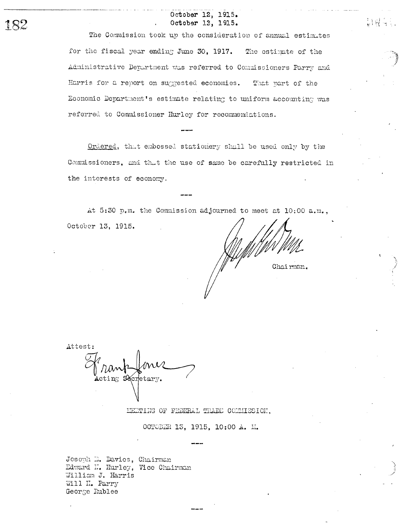#### October 12, 1915. October 13, 1915.

The Commission took up the consideration of annual estimates for the fiscal year ending June 30, 1917. The estimate of the Administrative Department was referred to Commissioners Parry and Harris for a report on suggested economies. That part of the Economic Department's estimate relating to uniform accounting was referred to Commissioner Hurley for recommendations.

Ordered, that embossed stationery shall be used only by the Commissioners, and that the use of same be carefully restricted in the interests of economy.

At 5:30 p.m. the Commission adjourned to meet at 10:00 a.m., October 13, 1915.

Chairman.

Attest: Acting Secretary.

MEETING OF FEDERAL TRADE COMMISSION,

OCTOBER 13, 1915, 10:00 A. M.

Joseph E. Davies, Chairman Edward I. Hurley, Vice Chairman William J. Harris Will H. Parry George Rublee

182

liW.